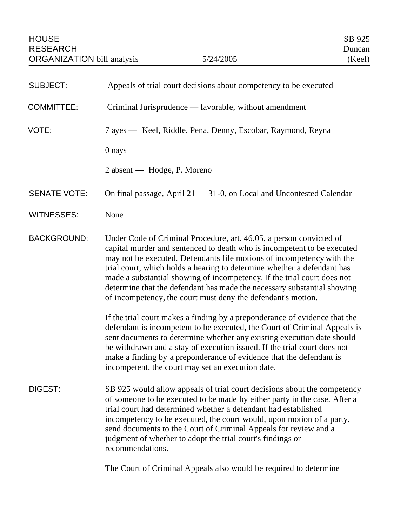| <b>SUBJECT:</b>     | Appeals of trial court decisions about competency to be executed                                                                                                                                                                                                                                                                                                                                                                                                                                                                                                                                                                                                                                                                                                                                                                                                                                                                                                      |
|---------------------|-----------------------------------------------------------------------------------------------------------------------------------------------------------------------------------------------------------------------------------------------------------------------------------------------------------------------------------------------------------------------------------------------------------------------------------------------------------------------------------------------------------------------------------------------------------------------------------------------------------------------------------------------------------------------------------------------------------------------------------------------------------------------------------------------------------------------------------------------------------------------------------------------------------------------------------------------------------------------|
| <b>COMMITTEE:</b>   | Criminal Jurisprudence — favorable, without amendment                                                                                                                                                                                                                                                                                                                                                                                                                                                                                                                                                                                                                                                                                                                                                                                                                                                                                                                 |
| VOTE:               | 7 ayes — Keel, Riddle, Pena, Denny, Escobar, Raymond, Reyna                                                                                                                                                                                                                                                                                                                                                                                                                                                                                                                                                                                                                                                                                                                                                                                                                                                                                                           |
|                     | 0 nays                                                                                                                                                                                                                                                                                                                                                                                                                                                                                                                                                                                                                                                                                                                                                                                                                                                                                                                                                                |
|                     | 2 absent — Hodge, P. Moreno                                                                                                                                                                                                                                                                                                                                                                                                                                                                                                                                                                                                                                                                                                                                                                                                                                                                                                                                           |
| <b>SENATE VOTE:</b> | On final passage, April $21 - 31 - 0$ , on Local and Uncontested Calendar                                                                                                                                                                                                                                                                                                                                                                                                                                                                                                                                                                                                                                                                                                                                                                                                                                                                                             |
| <b>WITNESSES:</b>   | None                                                                                                                                                                                                                                                                                                                                                                                                                                                                                                                                                                                                                                                                                                                                                                                                                                                                                                                                                                  |
| <b>BACKGROUND:</b>  | Under Code of Criminal Procedure, art. 46.05, a person convicted of<br>capital murder and sentenced to death who is incompetent to be executed<br>may not be executed. Defendants file motions of incompetency with the<br>trial court, which holds a hearing to determine whether a defendant has<br>made a substantial showing of incompetency. If the trial court does not<br>determine that the defendant has made the necessary substantial showing<br>of incompetency, the court must deny the defendant's motion.<br>If the trial court makes a finding by a preponderance of evidence that the<br>defendant is incompetent to be executed, the Court of Criminal Appeals is<br>sent documents to determine whether any existing execution date should<br>be withdrawn and a stay of execution issued. If the trial court does not<br>make a finding by a preponderance of evidence that the defendant is<br>incompetent, the court may set an execution date. |
| DIGEST:             | SB 925 would allow appeals of trial court decisions about the competency<br>of someone to be executed to be made by either party in the case. After a<br>trial court had determined whether a defendant had established<br>incompetency to be executed, the court would, upon motion of a party,<br>send documents to the Court of Criminal Appeals for review and a<br>judgment of whether to adopt the trial court's findings or<br>recommendations.                                                                                                                                                                                                                                                                                                                                                                                                                                                                                                                |

The Court of Criminal Appeals also would be required to determine